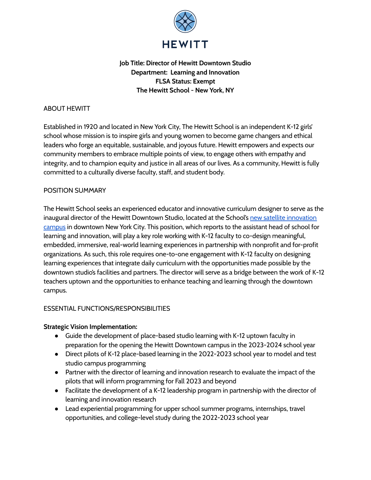

# **Job Title: Director of Hewitt Downtown Studio Department: Learning and Innovation FLSA Status: Exempt The Hewitt School - New York, NY**

# ABOUT HEWITT

Established in 1920 and located in New York City, The Hewitt School is an independent K-12 girls' school whose mission is to inspire girls and young women to become game changers and ethical leaders who forge an equitable, sustainable, and joyous future. Hewitt empowers and expects our community members to embrace multiple points of view, to engage others with empathy and integrity, and to champion equity and justice in all areas of our lives. As a community, Hewitt is fully committed to a culturally diverse faculty, staff, and student body.

# POSITION SUMMARY

The Hewitt School seeks an experienced educator and innovative curriculum designer to serve as the inaugural director of the Hewitt Downtown Studio, located at the School's new satellite [innovation](https://www.hewittschool.org/strategic-vision) [campus](https://www.hewittschool.org/strategic-vision) in downtown New York City. This position, which reports to the assistant head of school for learning and innovation, will play a key role working with K-12 faculty to co-design meaningful, embedded, immersive, real-world learning experiences in partnership with nonprofit and for-profit organizations. As such, this role requires one-to-one engagement with K-12 faculty on designing learning experiences that integrate daily curriculum with the opportunities made possible by the downtown studio's facilities and partners. The director will serve as a bridge between the work of K-12 teachers uptown and the opportunities to enhance teaching and learning through the downtown campus.

### ESSENTIAL FUNCTIONS/RESPONSIBILITIES

### **Strategic Vision Implementation:**

- Guide the development of place-based studio learning with K-12 uptown faculty in preparation for the opening the Hewitt Downtown campus in the 2023-2024 school year
- Direct pilots of K-12 place-based learning in the 2022-2023 school year to model and test studio campus programming
- Partner with the director of learning and innovation research to evaluate the impact of the pilots that will inform programming for Fall 2023 and beyond
- Facilitate the development of a K-12 leadership program in partnership with the director of learning and innovation research
- Lead experiential programming for upper school summer programs, internships, travel opportunities, and college-level study during the 2022-2023 school year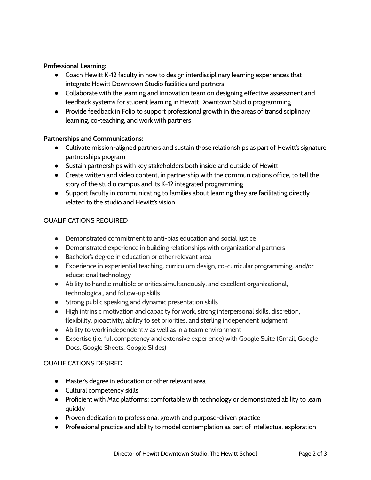# **Professional Learning:**

- Coach Hewitt K-12 faculty in how to design interdisciplinary learning experiences that integrate Hewitt Downtown Studio facilities and partners
- Collaborate with the learning and innovation team on designing effective assessment and feedback systems for student learning in Hewitt Downtown Studio programming
- Provide feedback in Folio to support professional growth in the areas of transdisciplinary learning, co-teaching, and work with partners

# **Partnerships and Communications:**

- Cultivate mission-aligned partners and sustain those relationships as part of Hewitt's signature partnerships program
- Sustain partnerships with key stakeholders both inside and outside of Hewitt
- Create written and video content, in partnership with the communications office, to tell the story of the studio campus and its K-12 integrated programming
- Support faculty in communicating to families about learning they are facilitating directly related to the studio and Hewitt's vision

# QUALIFICATIONS REQUIRED

- Demonstrated commitment to anti-bias education and social justice
- Demonstrated experience in building relationships with organizational partners
- Bachelor's degree in education or other relevant area
- Experience in experiential teaching, curriculum design, co-curricular programming, and/or educational technology
- Ability to handle multiple priorities simultaneously, and excellent organizational, technological, and follow-up skills
- Strong public speaking and dynamic presentation skills
- High intrinsic motivation and capacity for work, strong interpersonal skills, discretion, flexibility, proactivity, ability to set priorities, and sterling independent judgment
- Ability to work independently as well as in a team environment
- Expertise (i.e. full competency and extensive experience) with Google Suite (Gmail, Google Docs, Google Sheets, Google Slides)

### QUALIFICATIONS DESIRED

- Master's degree in education or other relevant area
- Cultural competency skills
- Proficient with Mac platforms; comfortable with technology or demonstrated ability to learn quickly
- Proven dedication to professional growth and purpose-driven practice
- Professional practice and ability to model contemplation as part of intellectual exploration